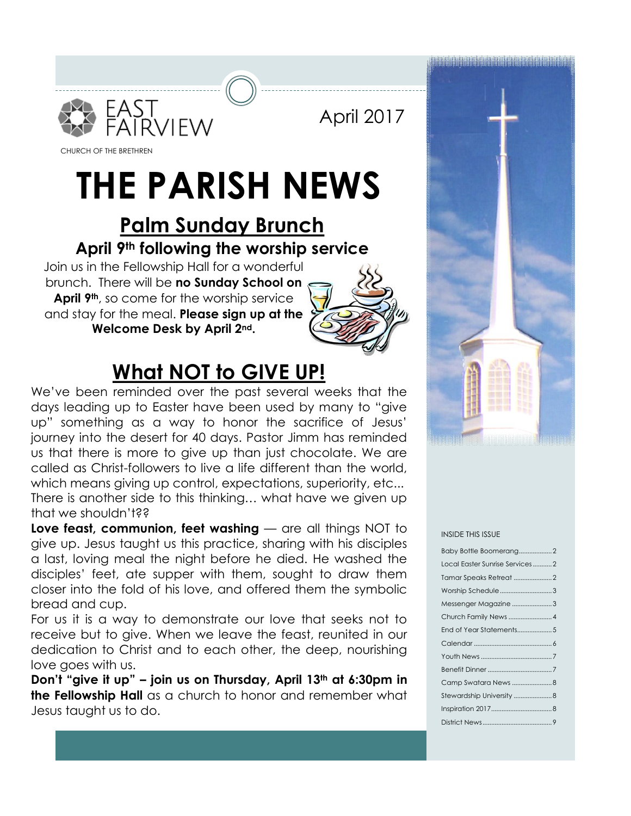

April 2017

CHURCH OF THE BRETHREN

## **THE PARISH NEWS**

### **Palm Sunday Brunch April 9th following the worship service**

Join us in the Fellowship Hall for a wonderful brunch. There will be **no Sunday School on April 9th**, so come for the worship service and stay for the meal. **Please sign up at the Welcome Desk by April 2nd.**



### **What NOT to GIVE UP!**

We've been reminded over the past several weeks that the days leading up to Easter have been used by many to "give up" something as a way to honor the sacrifice of Jesus' journey into the desert for 40 days. Pastor Jimm has reminded us that there is more to give up than just chocolate. We are called as Christ-followers to live a life different than the world, which means giving up control, expectations, superiority, etc... There is another side to this thinking… what have we given up that we shouldn't??

**Love feast, communion, feet washing** — are all things NOT to give up. Jesus taught us this practice, sharing with his disciples a last, loving meal the night before he died. He washed the disciples' feet, ate supper with them, sought to draw them closer into the fold of his love, and offered them the symbolic bread and cup.

For us it is a way to demonstrate our love that seeks not to receive but to give. When we leave the feast, reunited in our dedication to Christ and to each other, the deep, nourishing love goes with us.

**Don't "give it up" – join us on Thursday, April 13th at 6:30pm in the Fellowship Hall** as a church to honor and remember what Jesus taught us to do.



#### INSIDE THIS ISSUE

| Baby Bottle Boomerang2         |
|--------------------------------|
| Local Easter Sunrise Services2 |
|                                |
| Worship Schedule3              |
| Messenger Magazine 3           |
|                                |
|                                |
|                                |
|                                |
|                                |
|                                |
|                                |
|                                |
|                                |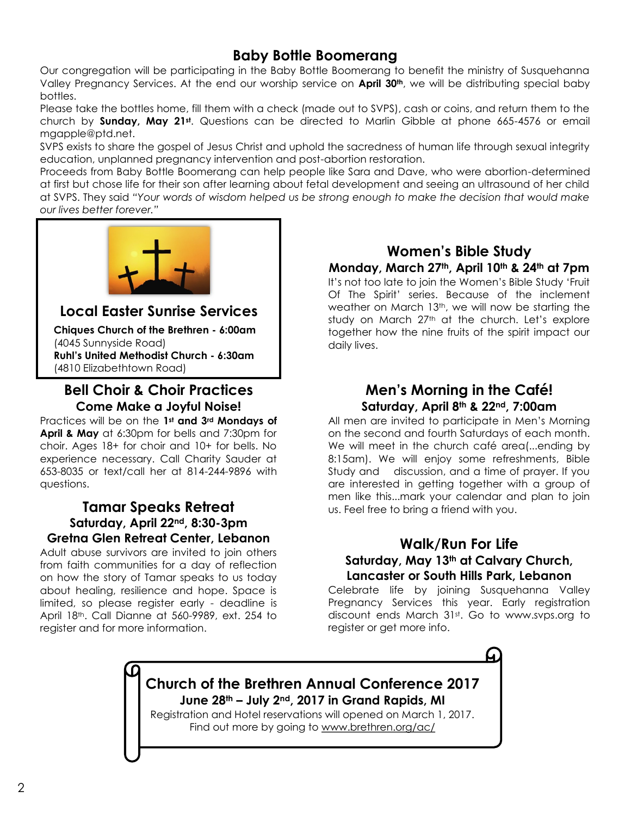### **Baby Bottle Boomerang**

Our congregation will be participating in the Baby Bottle Boomerang to benefit the ministry of Susquehanna Valley Pregnancy Services. At the end our worship service on **April 30th**, we will be distributing special baby bottles.

Please take the bottles home, fill them with a check (made out to SVPS), cash or coins, and return them to the church by **Sunday, May 21st**. Questions can be directed to Marlin Gibble at phone 665-4576 or email mgapple@ptd.net.

SVPS exists to share the gospel of Jesus Christ and uphold the sacredness of human life through sexual integrity education, unplanned pregnancy intervention and post-abortion restoration.

Proceeds from Baby Bottle Boomerang can help people like Sara and Dave, who were abortion-determined at first but chose life for their son after learning about fetal development and seeing an ultrasound of her child at SVPS. They said *"Your words of wisdom helped us be strong enough to make the decision that would make our lives better forever."*



### **Local Easter Sunrise Services**

**Chiques Church of the Brethren - 6:00am** (4045 Sunnyside Road) **Ruhl's United Methodist Church - 6:30am** (4810 Elizabethtown Road)

### **Bell Choir & Choir Practices Come Make a Joyful Noise!**

Practices will be on the **1st and 3rd Mondays of April & May** at 6:30pm for bells and 7:30pm for choir. Ages 18+ for choir and 10+ for bells. No experience necessary. Call Charity Sauder at 653-8035 or text/call her at 814-244-9896 with questions.

### **Tamar Speaks Retreat Saturday, April 22nd, 8:30-3pm Gretna Glen Retreat Center, Lebanon**

Adult abuse survivors are invited to join others from faith communities for a day of reflection on how the story of Tamar speaks to us today about healing, resilience and hope. Space is limited, so please register early - deadline is April 18th. Call Dianne at 560-9989, ext. 254 to register and for more information.

### **Women's Bible Study Monday, March 27th, April 10th & 24th at 7pm**

It's not too late to join the Women's Bible Study 'Fruit Of The Spirit' series. Because of the inclement weather on March 13<sup>th</sup>, we will now be starting the study on March 27<sup>th</sup> at the church. Let's explore together how the nine fruits of the spirit impact our daily lives.

### **Men's Morning in the Café! Saturday, April 8th & 22nd, 7:00am**

All men are invited to participate in Men's Morning on the second and fourth Saturdays of each month. We will meet in the church café area(...ending by 8:15am). We will enjoy some refreshments, Bible Study and discussion, and a time of prayer. If you are interested in getting together with a group of men like this...mark your calendar and plan to join us. Feel free to bring a friend with you.

### **Walk/Run For Life Saturday, May 13th at Calvary Church, Lancaster or South Hills Park, Lebanon**

Celebrate life by joining Susquehanna Valley Pregnancy Services this year. Early registration discount ends March 31st. Go to www.svps.org to register or get more info.

### **Church of the Brethren Annual Conference 2017 June 28th – July 2nd, 2017 in Grand Rapids, MI**

Registration and Hotel reservations will opened on March 1, 2017. Find out more by going to [www.brethren.org/ac/](http://www.brethren.org/ac/)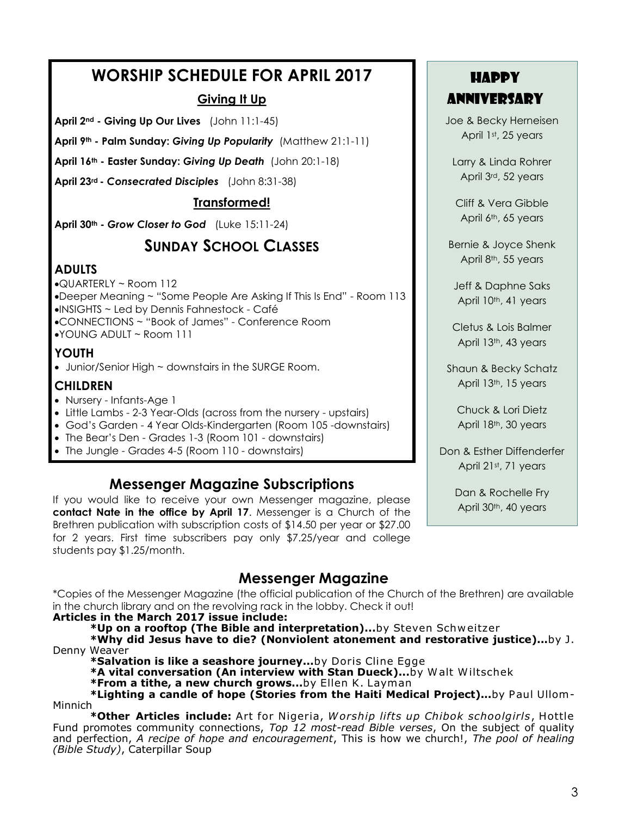### **WORSHIP SCHEDULE FOR APRIL 2017**

### **Giving It Up**

**April 2nd - Giving Up Our Lives** (John 11:1-45)

**April 9th - Palm Sunday:** *Giving Up Popularity* (Matthew 21:1-11)

**April 16th - Easter Sunday:** *Giving Up Death* (John 20:1-18)

**April 23rd -** *Consecrated Disciples* (John 8:31-38)

### **Transformed!**

**April 30th -** *Grow Closer to God* (Luke 15:11-24)

### **SUNDAY SCHOOL CLASSES**

### **ADULTS**

- QUARTERLY ~ Room 112
- Deeper Meaning ~ "Some People Are Asking If This Is End" Room 113
- INSIGHTS ~ Led by Dennis Fahnestock Café
- CONNECTIONS ~ "Book of James" Conference Room
- YOUNG ADULT ~ Room 111

### **YOUTH**

Junior/Senior High ~ downstairs in the SURGE Room.

### **CHILDREN**

- Nursery Infants-Age 1
- Little Lambs 2-3 Year-Olds (across from the nursery upstairs)
- God's Garden 4 Year Olds-Kindergarten (Room 105 -downstairs)
- The Bear's Den Grades 1-3 (Room 101 downstairs)
- The Jungle Grades 4-5 (Room 110 downstairs)

### **Messenger Magazine Subscriptions**

If you would like to receive your own Messenger magazine, please **contact Nate in the office by April 17**. Messenger is a Church of the Brethren publication with subscription costs of \$14.50 per year or \$27.00 for 2 years. First time subscribers pay only \$7.25/year and college students pay \$1.25/month.

### **Messenger Magazine**

\*Copies of the Messenger Magazine (the official publication of the Church of the Brethren) are available in the church library and on the revolving rack in the lobby. Check it out!

### **Articles in the March 2017 issue include:**

**\*Up on a rooftop (The Bible and interpretation)...**by Steven Schw eitzer

**\*Why did Jesus have to die? (Nonviolent atonement and restorative justice)...**by J. Denny Weaver

**\*Salvation is like a seashore journey...**by Doris Cline Egge

- **\*A vital conversation (An interview with Stan Dueck)...**by W alt W iltschek
- **\*From a tithe, a new church grows...**by Ellen K. Layman

\*Lighting a candle of hope (Stories from the Haiti Medical Project)...by Paul Ullom-Minnich

**\*Other Articles include:** Art for Nigeria, *W orship lifts up Chibok schoolgirls*, Hottle Fund promotes community connections, *Top 12 most-read Bible verses*, On the subject of quality and perfection, *A recipe of hope and encouragement*, This is how we church!, *The pool of healing (Bible Study)*, Caterpillar Soup

### Happy anniversary

Joe & Becky Herneisen April 1st, 25 years

Larry & Linda Rohrer April 3rd, 52 years

Cliff & Vera Gibble April 6<sup>th</sup>, 65 years

Bernie & Joyce Shenk April 8<sup>th</sup>, 55 years

Jeff & Daphne Saks April 10<sup>th</sup>, 41 years

Cletus & Lois Balmer April 13th, 43 years

Shaun & Becky Schatz April 13th, 15 years

Chuck & Lori Dietz April 18th, 30 years

Don & Esther Diffenderfer April 21st, 71 years

> Dan & Rochelle Fry April 30<sup>th</sup>, 40 years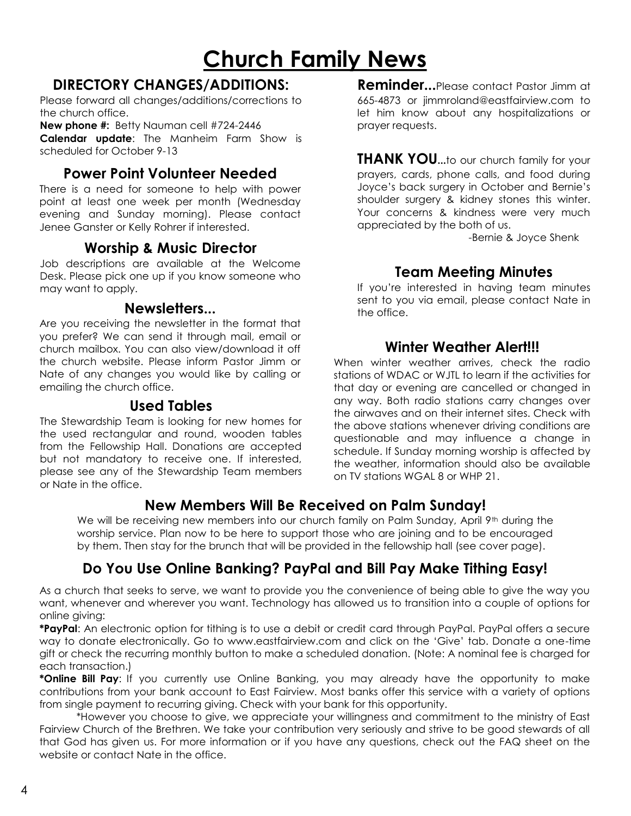### **Church Family News**

### **DIRECTORY CHANGES/ADDITIONS:**

Please forward all changes/additions/corrections to the church office.

**New phone #:** Betty Nauman cell #724-2446 **Calendar update**: The Manheim Farm Show is scheduled for October 9-13

### **Power Point Volunteer Needed**

There is a need for someone to help with power point at least one week per month (Wednesday evening and Sunday morning). Please contact Jenee Ganster or Kelly Rohrer if interested.

### **Worship & Music Director**

Job descriptions are available at the Welcome Desk. Please pick one up if you know someone who may want to apply.

### **Newsletters...**

Are you receiving the newsletter in the format that you prefer? We can send it through mail, email or church mailbox. You can also view/download it off the church website. Please inform Pastor Jimm or Nate of any changes you would like by calling or emailing the church office.

### **Used Tables**

The Stewardship Team is looking for new homes for the used rectangular and round, wooden tables from the Fellowship Hall. Donations are accepted but not mandatory to receive one. If interested, please see any of the Stewardship Team members or Nate in the office.

**Reminder...**Please contact Pastor Jimm at 665-4873 or jimmroland@eastfairview.com to let him know about any hospitalizations or prayer requests.

**THANK YOU...**to our church family for your prayers, cards, phone calls, and food during Joyce's back surgery in October and Bernie's shoulder surgery & kidney stones this winter. Your concerns & kindness were very much appreciated by the both of us.

-Bernie & Joyce Shenk

### **Team Meeting Minutes**

If you're interested in having team minutes sent to you via email, please contact Nate in the office.

### **Winter Weather Alert!!!**

When winter weather arrives, check the radio stations of WDAC or WJTL to learn if the activities for that day or evening are cancelled or changed in any way. Both radio stations carry changes over the airwaves and on their internet sites. Check with the above stations whenever driving conditions are questionable and may influence a change in schedule. If Sunday morning worship is affected by the weather, information should also be available on TV stations WGAL 8 or WHP 21.

### **New Members Will Be Received on Palm Sunday!**

We will be receiving new members into our church family on Palm Sunday, April 9th during the worship service. Plan now to be here to support those who are joining and to be encouraged by them. Then stay for the brunch that will be provided in the fellowship hall (see cover page).

### **Do You Use Online Banking? PayPal and Bill Pay Make Tithing Easy!**

As a church that seeks to serve, we want to provide you the convenience of being able to give the way you want, whenever and wherever you want. Technology has allowed us to transition into a couple of options for online giving:

**\*PayPal**: An electronic option for tithing is to use a debit or credit card through PayPal. PayPal offers a secure way to donate electronically. Go to www.eastfairview.com and click on the 'Give' tab. Donate a one-time gift or check the recurring monthly button to make a scheduled donation. (Note: A nominal fee is charged for each transaction.)

**\*Online Bill Pay**: If you currently use Online Banking, you may already have the opportunity to make contributions from your bank account to East Fairview. Most banks offer this service with a variety of options from single payment to recurring giving. Check with your bank for this opportunity.

\*However you choose to give, we appreciate your willingness and commitment to the ministry of East Fairview Church of the Brethren. We take your contribution very seriously and strive to be good stewards of all that God has given us. For more information or if you have any questions, check out the FAQ sheet on the website or contact Nate in the office.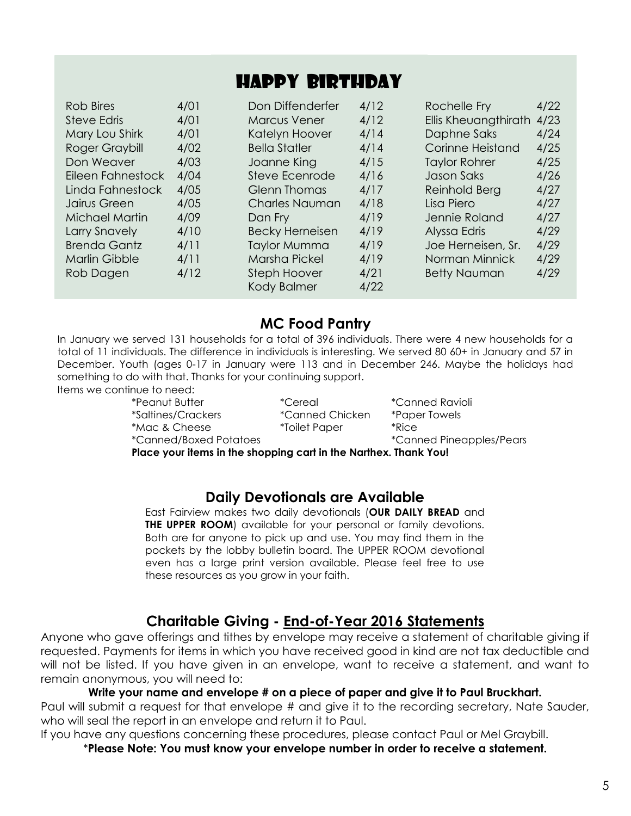### HAPPY BIRTHDAY

| Rob Bires             | 4/01 | Don Diffenderfer       | 4/12 | Rochelle Fry         | 4/22 |
|-----------------------|------|------------------------|------|----------------------|------|
| Steve Edris           | 4/01 | <b>Marcus Vener</b>    | 4/12 | Ellis Kheuangthirath | 4/23 |
| Mary Lou Shirk        | 4/01 | Katelyn Hoover         | 4/14 | Daphne Saks          | 4/24 |
| Roger Graybill        | 4/02 | <b>Bella Statler</b>   | 4/14 | Corinne Heistand     | 4/25 |
| Don Weaver            | 4/03 | Joanne King            | 4/15 | <b>Taylor Rohrer</b> | 4/25 |
| Eileen Fahnestock     | 4/04 | Steve Ecenrode         | 4/16 | Jason Saks           | 4/26 |
| Linda Fahnestock      | 4/05 | <b>Glenn Thomas</b>    | 4/17 | Reinhold Berg        | 4/27 |
| Jairus Green          | 4/05 | <b>Charles Nauman</b>  | 4/18 | Lisa Piero           | 4/27 |
| <b>Michael Martin</b> | 4/09 | Dan Fry                | 4/19 | Jennie Roland        | 4/27 |
| Larry Snavely         | 4/10 | <b>Becky Herneisen</b> | 4/19 | Alyssa Edris         | 4/29 |
| <b>Brenda Gantz</b>   | 4/11 | <b>Taylor Mumma</b>    | 4/19 | Joe Herneisen, Sr.   | 4/29 |
| Marlin Gibble         | 4/11 | Marsha Pickel          | 4/19 | Norman Minnick       | 4/29 |
| Rob Dagen             | 4/12 | <b>Steph Hoover</b>    | 4/21 | <b>Betty Nauman</b>  | 4/29 |
|                       |      | Kody Balmer            | 4/22 |                      |      |

### **MC Food Pantry**

In January we served 131 households for a total of 396 individuals. There were 4 new households for a total of 11 individuals. The difference in individuals is interesting. We served 80 60+ in January and 57 in December. Youth (ages 0-17 in January were 113 and in December 246. Maybe the holidays had something to do with that. Thanks for your continuing support. Items we continue to need:

\*Peanut Butter \*Cereal \*Canned Ravioli \*Saltines/Crackers \*Canned Chicken \*Paper Towels \*Mac & Cheese \*Toilet Paper \*Rice

\*Canned/Boxed Potatoes \*Canned Pineapples/Pears

**Place your items in the shopping cart in the Narthex. Thank You!**

### **Daily Devotionals are Available**

East Fairview makes two daily devotionals (**OUR DAILY BREAD** and **THE UPPER ROOM**) available for your personal or family devotions. Both are for anyone to pick up and use. You may find them in the pockets by the lobby bulletin board. The UPPER ROOM devotional even has a large print version available. Please feel free to use these resources as you grow in your faith.

### **Charitable Giving - End-of-Year 2016 Statements**

Anyone who gave offerings and tithes by envelope may receive a statement of charitable giving if requested. Payments for items in which you have received good in kind are not tax deductible and will not be listed. If you have given in an envelope, want to receive a statement, and want to remain anonymous, you will need to:

### **Write your name and envelope # on a piece of paper and give it to Paul Bruckhart.**

Paul will submit a request for that envelope # and give it to the recording secretary, Nate Sauder, who will seal the report in an envelope and return it to Paul.

If you have any questions concerning these procedures, please contact Paul or Mel Graybill.

\***Please Note: You must know your envelope number in order to receive a statement.**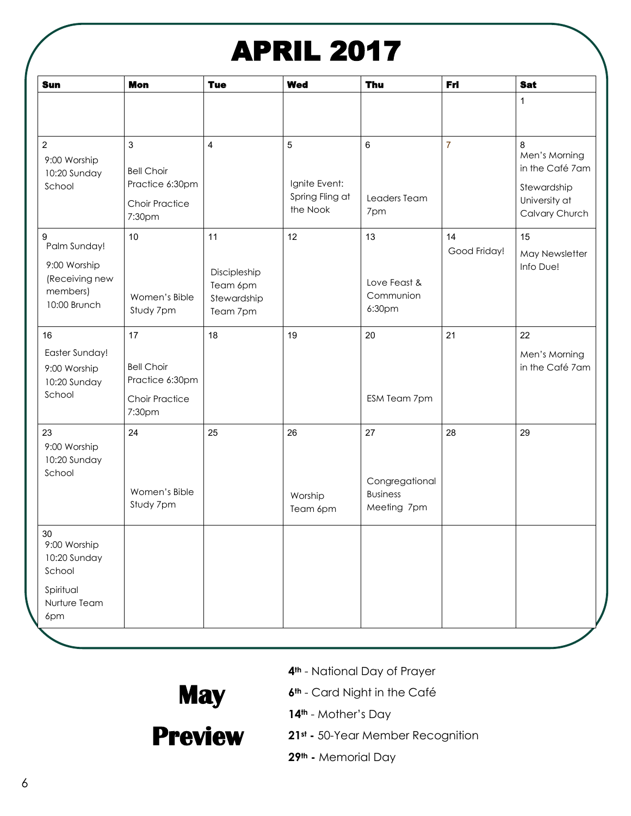## APRIL 2017

| <b>Sun</b>                                                                       | <b>Mon</b>                                                                    | <b>Tue</b>                                                | <b>Wed</b>                                        | Thu                                                    | Fri                | <b>Sat</b>                                                                              |
|----------------------------------------------------------------------------------|-------------------------------------------------------------------------------|-----------------------------------------------------------|---------------------------------------------------|--------------------------------------------------------|--------------------|-----------------------------------------------------------------------------------------|
|                                                                                  |                                                                               |                                                           |                                                   |                                                        |                    | 1                                                                                       |
| $\overline{c}$<br>9:00 Worship<br>10:20 Sunday<br>School                         | 3<br><b>Bell Choir</b><br>Practice 6:30pm<br><b>Choir Practice</b><br>7:30pm  | $\overline{\mathbf{4}}$                                   | 5<br>Ignite Event:<br>Spring Fling at<br>the Nook | 6<br>Leaders Team<br>7pm                               | $\overline{7}$     | 8<br>Men's Morning<br>in the Café 7am<br>Stewardship<br>University at<br>Calvary Church |
| 9<br>Palm Sunday!<br>9:00 Worship<br>(Receiving new<br>members)<br>10:00 Brunch  | 10 <sup>°</sup><br>Women's Bible<br>Study 7pm                                 | 11<br>Discipleship<br>Team 6pm<br>Stewardship<br>Team 7pm | 12                                                | 13<br>Love Feast &<br>Communion<br>6:30pm              | 14<br>Good Friday! | 15<br>May Newsletter<br>Info Due!                                                       |
| 16<br>Easter Sunday!<br>9:00 Worship<br>10:20 Sunday<br>School                   | 17<br><b>Bell Choir</b><br>Practice 6:30pm<br><b>Choir Practice</b><br>7:30pm | 18                                                        | 19                                                | 20<br>ESM Team 7pm                                     | 21                 | 22<br>Men's Morning<br>in the Café 7am                                                  |
| 23<br>9:00 Worship<br>10:20 Sunday<br>School                                     | 24<br>Women's Bible<br>Study 7pm                                              | 25                                                        | 26<br>Worship<br>Team 6pm                         | 27<br>Congregational<br><b>Business</b><br>Meeting 7pm | 28                 | 29                                                                                      |
| 30<br>9:00 Worship<br>10:20 Sunday<br>School<br>Spiritual<br>Nurture Team<br>6pm |                                                                               |                                                           |                                                   |                                                        |                    |                                                                                         |

- **4th** National Day of Prayer
- **6th** Card Night in the Café

**14th** - Mother's Day

**Preview 21st -** 50-Year Member Recognition

 **May** 

**29th -** Memorial Day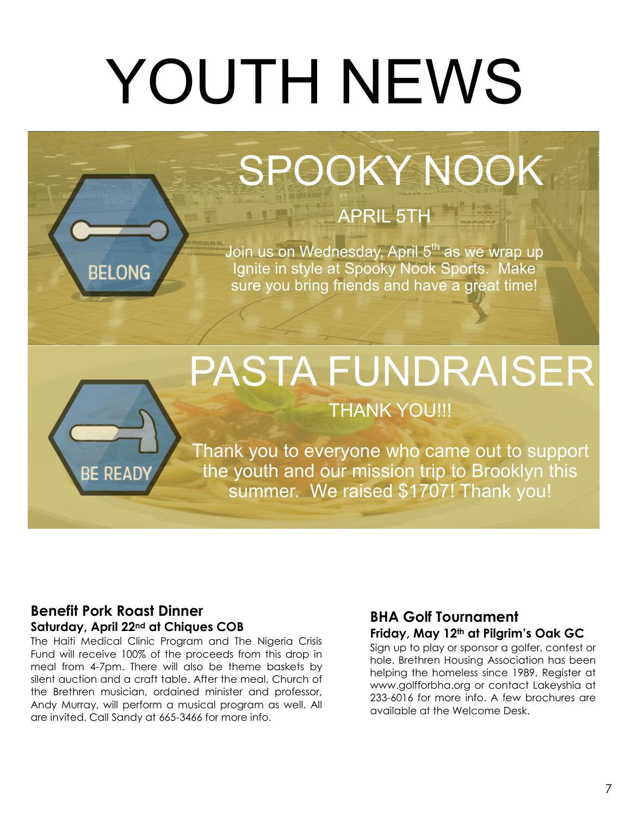# YOUTH NEWS

## SPOOKY NOOK

### APRIL 5TH

Join us on Wednesday, April 5<sup>th</sup> as we wrap up Ignite in style at Spooky Nook Sports. Make sure you bring friends and have a great time!

## PASTA FUNDRAISER

### THANK YOU!!!

Thank you to everyone who came out to support the youth and our mission trip to Brooklyn this summer. We raised \$1707! Thank you!

### **Benefit Pork Roast Dinner Saturday, April 22nd at Chiques COB**

**BELONG** 

**REA** 

The Haiti Medical Clinic Program and The Nigeria Crisis Fund will receive 100% of the proceeds from this drop in meal from 4-7pm. There will also be theme baskets by silent auction and a craft table. After the meal, Church of the Brethren musician, ordained minister and professor, Andy Murray, will perform a musical program as well. All are invited. Call Sandy at 665-3466 for more info.

### **BHA Golf Tournament Friday, May 12th at Pilgrim's Oak GC**

Sign up to play or sponsor a golfer, contest or hole. Brethren Housing Association has been helping the homeless since 1989. Register at www.golfforbha.org or contact Lakeyshia at 233-6016 for more info. A few brochures are available at the Welcome Desk.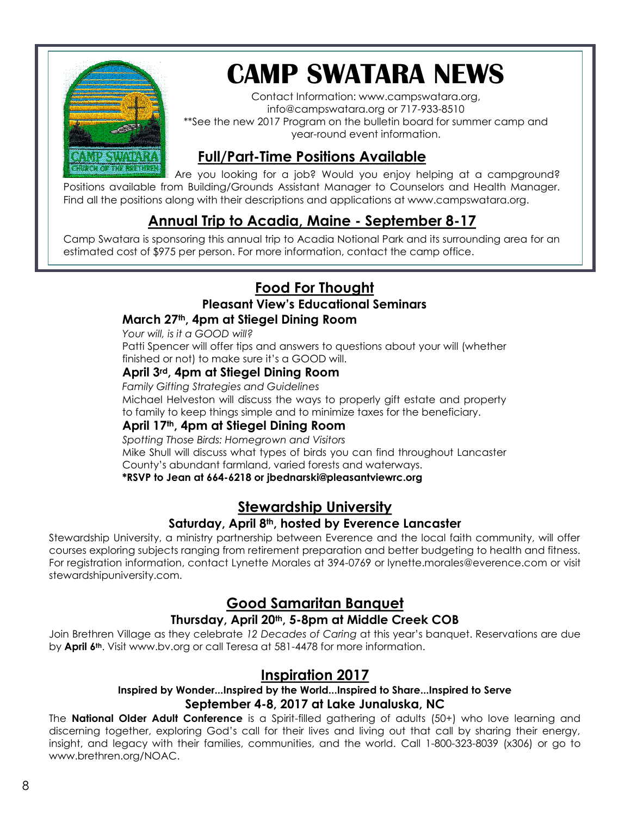

## **CAMP SWATARA NEWS**

Contact Information: www.campswatara.org, info@campswatara.org or 717-933-8510 \*\*See the new 2017 Program on the bulletin board for summer camp and year-round event information.

### **Full/Part-Time Positions Available**

Are you looking for a job? Would you enjoy helping at a campground? Positions available from Building/Grounds Assistant Manager to Counselors and Health Manager. Find all the positions along with their descriptions and applications at www.campswatara.org.

### **Annual Trip to Acadia, Maine - September 8-17**

Camp Swatara is sponsoring this annual trip to Acadia Notional Park and its surrounding area for an estimated cost of \$975 per person. For more information, contact the camp office.

### **Food For Thought**

### **Pleasant View's Educational Seminars**

### **March 27th, 4pm at Stiegel Dining Room**

*Your will, is it a GOOD will?* Patti Spencer will offer tips and answers to questions about your will (whether finished or not) to make sure it's a GOOD will.

### **April 3rd, 4pm at Stiegel Dining Room**

*Family Gifting Strategies and Guidelines*

Michael Helveston will discuss the ways to properly gift estate and property to family to keep things simple and to minimize taxes for the beneficiary.

### **April 17th, 4pm at Stiegel Dining Room**

*Spotting Those Birds: Homegrown and Visitors*

Mike Shull will discuss what types of birds you can find throughout Lancaster

County's abundant farmland, varied forests and waterways.

### **\*RSVP to Jean at 664-6218 or jbednarski@pleasantviewrc.org**

### **Stewardship University**

### **Saturday, April 8th, hosted by Everence Lancaster**

Stewardship University, a ministry partnership between Everence and the local faith community, will offer courses exploring subjects ranging from retirement preparation and better budgeting to health and fitness. For registration information, contact Lynette Morales at 394-0769 or lynette.morales@everence.com or visit stewardshipuniversity.com.

### **Good Samaritan Banquet**

### **Thursday, April 20th, 5-8pm at Middle Creek COB**

Join Brethren Village as they celebrate *12 Decades of Caring* at this year's banquet. Reservations are due by **April 6th**. Visit www.bv.org or call Teresa at 581-4478 for more information.

### **Inspiration 2017**

#### **Inspired by Wonder...Inspired by the World...Inspired to Share...Inspired to Serve September 4-8, 2017 at Lake Junaluska, NC**

The **National Older Adult Conference** is a Spirit-filled gathering of adults (50+) who love learning and discerning together, exploring God's call for their lives and living out that call by sharing their energy, insight, and legacy with their families, communities, and the world. Call 1-800-323-8039 (x306) or go to [www.brethren.org/NOAC.](http://www.brethren.org/NOAC%20or%20you%20can%20call%201-800-323-8039)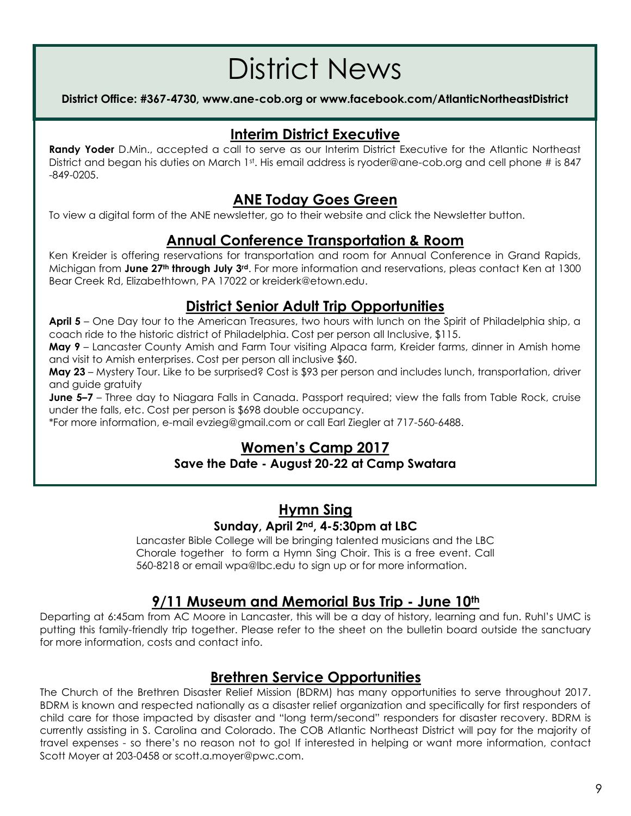## District News

### **District Office: #367-4730, www.ane-cob.org or www.facebook.com/AtlanticNortheastDistrict**

### **Interim District Executive**

**Randy Yoder** D.Min., accepted a call to serve as our Interim District Executive for the Atlantic Northeast District and began his duties on March 1st. His email address is ryoder@ane-cob.org and cell phone # is 847 -849-0205.

### **ANE Today Goes Green**

To view a digital form of the ANE newsletter, go to their website and click the Newsletter button.

### **Annual Conference Transportation & Room**

Ken Kreider is offering reservations for transportation and room for Annual Conference in Grand Rapids, Michigan from **June 27th through July 3rd**. For more information and reservations, pleas contact Ken at 1300 Bear Creek Rd, Elizabethtown, PA 17022 or kreiderk@etown.edu.

### **District Senior Adult Trip Opportunities**

**April 5** – One Day tour to the American Treasures, two hours with lunch on the Spirit of Philadelphia ship, a coach ride to the historic district of Philadelphia. Cost per person all Inclusive, \$115.

**May 9** – Lancaster County Amish and Farm Tour visiting Alpaca farm, Kreider farms, dinner in Amish home and visit to Amish enterprises. Cost per person all inclusive \$60.

**May 23** – Mystery Tour. Like to be surprised? Cost is \$93 per person and includes lunch, transportation, driver and guide gratuity

**June 5–7** – Three day to Niagara Falls in Canada. Passport required; view the falls from Table Rock, cruise under the falls, etc. Cost per person is \$698 double occupancy.

\*For more information, e-mail evzieg@gmail.com or call Earl Ziegler at 717-560-6488.

### **Women's Camp 2017**

### **Save the Date - August 20-22 at Camp Swatara**

### **Hymn Sing Sunday, April 2nd, 4-5:30pm at LBC**

Lancaster Bible College will be bringing talented musicians and the LBC Chorale together to form a Hymn Sing Choir. This is a free event. Call 560-8218 or email wpa@lbc.edu to sign up or for more information.

### **9/11 Museum and Memorial Bus Trip - June 10th**

Departing at 6:45am from AC Moore in Lancaster, this will be a day of history, learning and fun. Ruhl's UMC is putting this family-friendly trip together. Please refer to the sheet on the bulletin board outside the sanctuary for more information, costs and contact info.

### **Brethren Service Opportunities**

The Church of the Brethren Disaster Relief Mission (BDRM) has many opportunities to serve throughout 2017. BDRM is known and respected nationally as a disaster relief organization and specifically for first responders of child care for those impacted by disaster and "long term/second" responders for disaster recovery. BDRM is currently assisting in S. Carolina and Colorado. The COB Atlantic Northeast District will pay for the majority of travel expenses - so there's no reason not to go! If interested in helping or want more information, contact Scott Moyer at 203-0458 or scott.a.moyer@pwc.com.